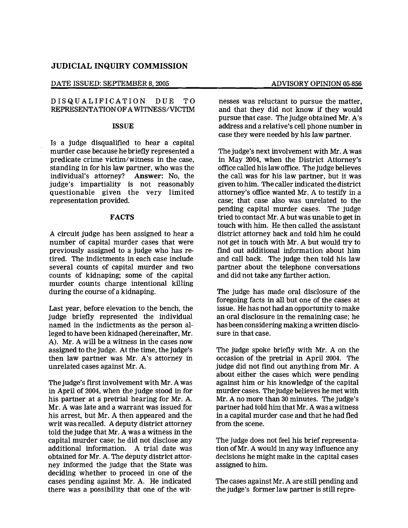# JUDICIAL INQUIRY COMMISSION

#### DATE ISSUED: SEPTEMBER 8, 2005 ADVISORY OPINION 05-856

### DISQUALIFICATION DUE TO REPRESENTATION OFAWITNESS/VICTIM:

### ISSUE

Is a judge disqualified to hear a capital murder case because he briefly represented a predicate crime victim/witness in the case, standing in for his law partner, who was the individual's attorney? Answer: No, the judge's impartiality is not reasonably questionable given the very limited representation provided.

### FACTS

A circuit judge has been assigned to hear a number of capital murder cases that were previously assigned to a judge who has retired. The indictments in each case include several counts of capital murder and two counts of kidnaping; some of the capital murder counts charge intentional killing during the course of a kidnaping.

Last year, before elevation to the bench, the judge briefly represented the individual named in the indictments as the person alleged to have been kidnaped (hereinafter, Mr. A). Mr. A will be a witness in the cases now assigned to the judge. At the time, the judge's then law partner was Mr. A's attorney in unrelated cases against Mr. A.

The judge's first involvement with Mr. Awas in April of 2004, when the judge stood in for his partner at a pretrial hearing for Mr. A. Mr. A was late and a warrant was issued for his arrest, but Mr. A then appeared and the writ was recalled. Adeputy district attorney told the judge that Mr. A was a witness in the capital murder case; he did not disclose any additional information. A trial date was obtained for Mr. A. The deputy district attorney informed the judge that the State was deciding whether to proceed in one of the cases pending against Mr. A. He indicated there was a possibility that one of the witnesses was reluctant to pursue the matter, and that they did not know if they would pursue that case. The judge obtained Mr. A's address and a relative's cell phone number in case they were needed by his law partner.

The judge's next involvement with Mr. A was in May 2004, when the District Attorney's office called his law office. The judge believes the call was for his law partner, but it was given to him. The caller indicated the district attorney's office wanted Mr. A to testify in a case; that case also was unrelated to the pending capital murder cases. The judge tried to contact Mr. A but was unable to get in touch with him. He then called the assistant district attorney back and told him he could not get in touch with Mr. A but would try to find out additional information about him and call back. The judge then told his law partner about the telephone conversations and did not take any further action.

The judge has made oral disclosure of the foregoing facts in all but one of the cases at issue. He has not had an opportunity to make an oral disclosure in the remaining case; he has been considering making a written disclosure in that case.

The judge spoke briefly with Mr. A on the occasion of the pretrial in April 2004. The judge did not find out anything from Mr. A about either the cases which were pending against him or his knowledge of the capital murder cases. The judge believes he met with Mr. A no more than 30 minutes. The judge's partner had told him that Mr. Awas a witness in a capital murder case and that he had fled from the scene.

The judge does not feel his brief representation ofMr. A would in any way influence any decisions he might make in the capital cases assigned to him.

The cases against Mr. A are still pending and the judge's former law partner is still repre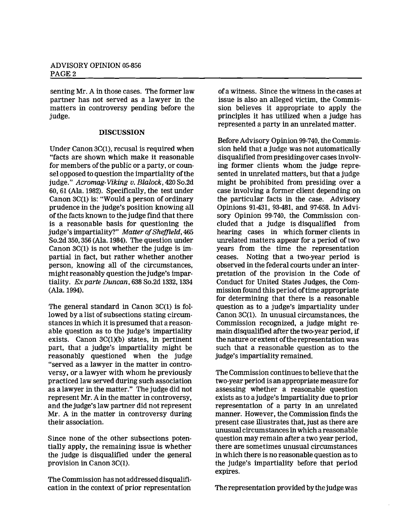senting Mr. A in those cases. The former law partner has not served as a lawyer in the matters in controversy pending before the judge.

# **DISCUSSION**

Under Canon 3C(I), recusal is required when "facts are shown which make it reasonable for members of the public or a party, or counsel opposed to question the impartiality of the judge." *Acromag-Viking u. Blalock,* 420 So.2d 60,61 (Ala. 1982). Specifically, the test under Canon 3C(l) is: "Would a person of ordinary prudence in the judge's position knowing all of the facts known to the judge find that there is a reasonable basis for questioning the judge's impartiality?" Matter of Sheffield, 465 So.2d 350,356 (Ala. 1984). The question under Canon  $3C(1)$  is not whether the judge is impartial in fact, but rather whether another person, knowing all of the circumstances, might reasonably question the judge's impartiality. *Exparte Duncan,* 638 So.2d 1332, 1334 (Ala. 1994).

The general standard in Canon 3C(I) is followed by a list of subsections stating circumstances in which it is presumed that a reasonable question as to the judge's impartiality exists. Canon 3C(I)(b) states, in pertinent part, that a judge's impartiality might be reasonably questioned when the judge "served as a lawyer in the matter in controversy, or a lawyer with whom he previously practiced law served during such association as a lawyer in the matter." The judge did not represent Mr. A in the matter in controversy, and the judge's law partner did not represent Mr. A in the matter in controversy during their association.

Since none of the other subsections potentially apply, the remaining issue is whether the judge is disqUalified under the general provision in Canon 3C(I).

The Commission has not addressed disqualification in the context of prior representation ofa witness. Since the witness in the cases at issue is also an alleged victim, the Commission believes it appropriate to apply the principles it has utilized when a judge has represented a party in an unrelated matter.

Before Advisory Opinion 99-740, the Commission held that a judge was not automatically disqualified from presidingover casesinvolving former clients whom the judge represented in unrelated matters, but that a judge might be prohibited from presiding over a case involving a former client depending on the particular facts in the case. Advisory Opinions 91-431, 93-481, and 97-658. In Advisory Opinion 99-740, the Commission concluded that a judge is disqualified from hearing cases in which former clients in unrelated matters appear for a period of two years from the time the representation ceases. Noting that a two-year period is observed in the federal courts under an interpretation of the provision in the Code of Conduct for United States Judges, the Commission found this period oftime appropriate for determining that there is a reasonable question as to a judge's impartiality under Canon 3C(I). In unusual circumstances, the Commission recognized, a judge might remain disqualified after the two-year period, if the nature or extent of the representation was such that a reasonable question as to the judge's impartiality remained.

The Commission continuesto believe that the two-year period is an appropriate measure for assessing whether a reasonable question exists as to ajudge's impartiality due to prior representation of a party in an unrelated manner. However, the Commission finds the present case illustrates that, just as there are unusual circumstancesin which a reasonable question may remain after a two year period, there are sometimes unusual circumstances in which there is no reasonable question as to the judge's impartiality before that period expires.

The representation provided by the judge was